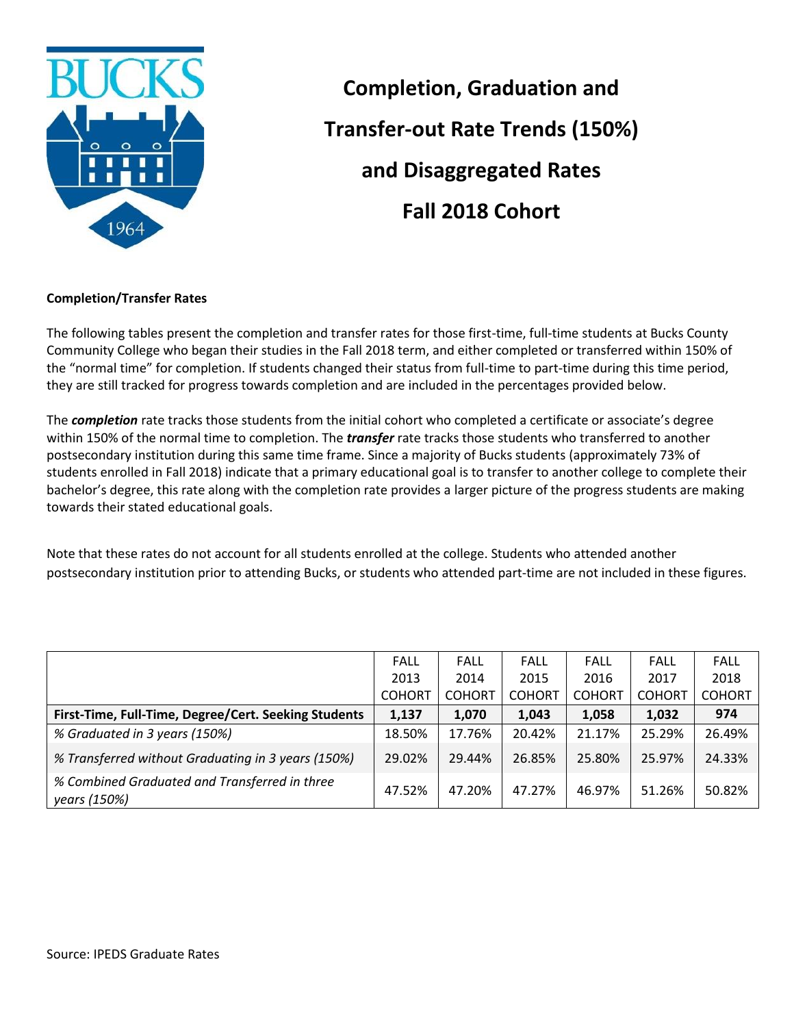

**Completion, Graduation and Transfer-out Rate Trends (150%) and Disaggregated Rates Fall 2018 Cohort**

## **Completion/Transfer Rates**

The following tables present the completion and transfer rates for those first-time, full-time students at Bucks County Community College who began their studies in the Fall 2018 term, and either completed or transferred within 150% of the "normal time" for completion. If students changed their status from full-time to part-time during this time period, they are still tracked for progress towards completion and are included in the percentages provided below.

The *completion* rate tracks those students from the initial cohort who completed a certificate or associate's degree within 150% of the normal time to completion. The *transfer* rate tracks those students who transferred to another postsecondary institution during this same time frame. Since a majority of Bucks students (approximately 73% of students enrolled in Fall 2018) indicate that a primary educational goal is to transfer to another college to complete their bachelor's degree, this rate along with the completion rate provides a larger picture of the progress students are making towards their stated educational goals.

Note that these rates do not account for all students enrolled at the college. Students who attended another postsecondary institution prior to attending Bucks, or students who attended part-time are not included in these figures.

|                                                               | <b>FALL</b>   | FALL          | <b>FALL</b>   | <b>FALL</b>   | <b>FALL</b>   | <b>FALL</b>   |
|---------------------------------------------------------------|---------------|---------------|---------------|---------------|---------------|---------------|
|                                                               | 2013          | 2014          | 2015          | 2016          | 2017          | 2018          |
|                                                               | <b>COHORT</b> | <b>COHORT</b> | <b>COHORT</b> | <b>COHORT</b> | <b>COHORT</b> | <b>COHORT</b> |
| First-Time, Full-Time, Degree/Cert. Seeking Students          | 1,137         | 1,070         | 1,043         | 1,058         | 1,032         | 974           |
| % Graduated in 3 years (150%)                                 | 18.50%        | 17.76%        | 20.42%        | 21.17%        | 25.29%        | 26.49%        |
| % Transferred without Graduating in 3 years (150%)            | 29.02%        | 29.44%        | 26.85%        | 25.80%        | 25.97%        | 24.33%        |
| % Combined Graduated and Transferred in three<br>years (150%) | 47.52%        | 47.20%        | 47.27%        | 46.97%        | 51.26%        | 50.82%        |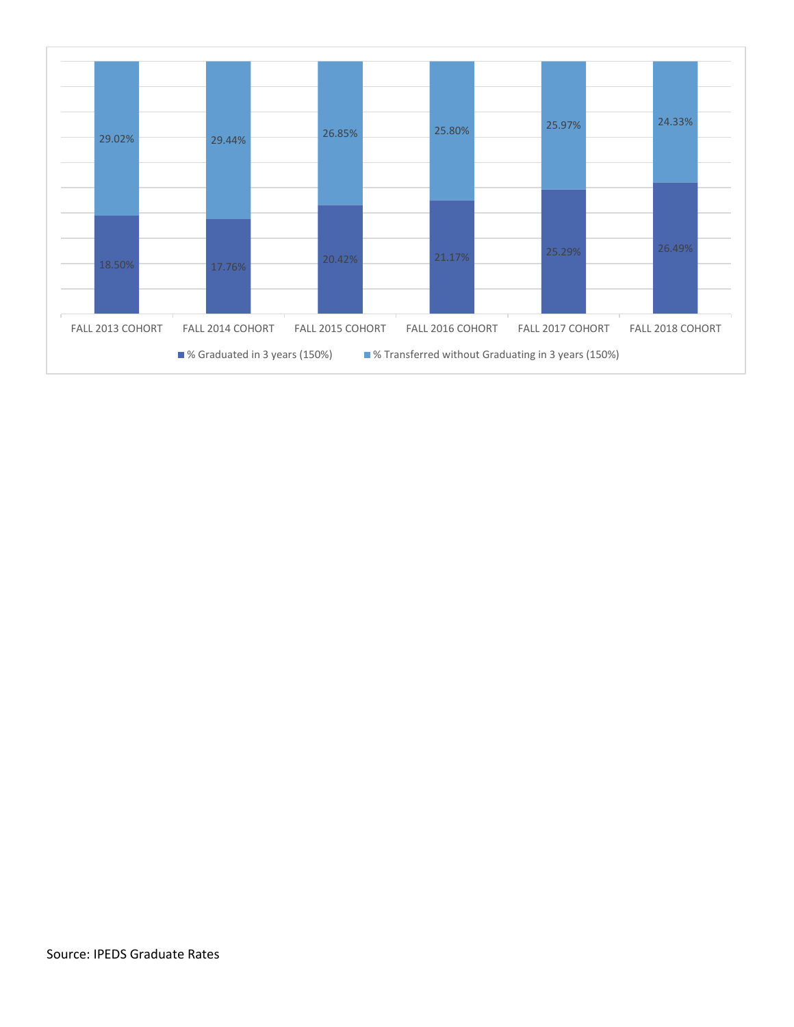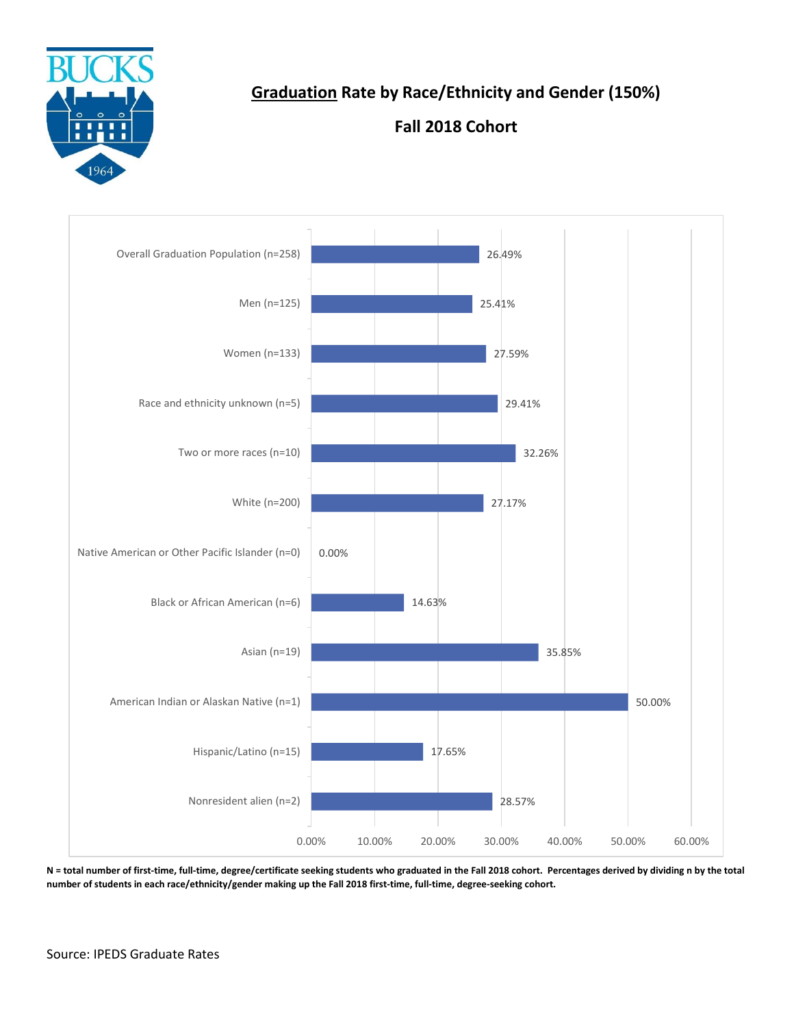

## **Graduation Rate by Race/Ethnicity and Gender (150%)**

## **Fall 2018 Cohort**



**N = total number of first-time, full-time, degree/certificate seeking students who graduated in the Fall 2018 cohort. Percentages derived by dividing n by the total number of students in each race/ethnicity/gender making up the Fall 2018 first-time, full-time, degree-seeking cohort.**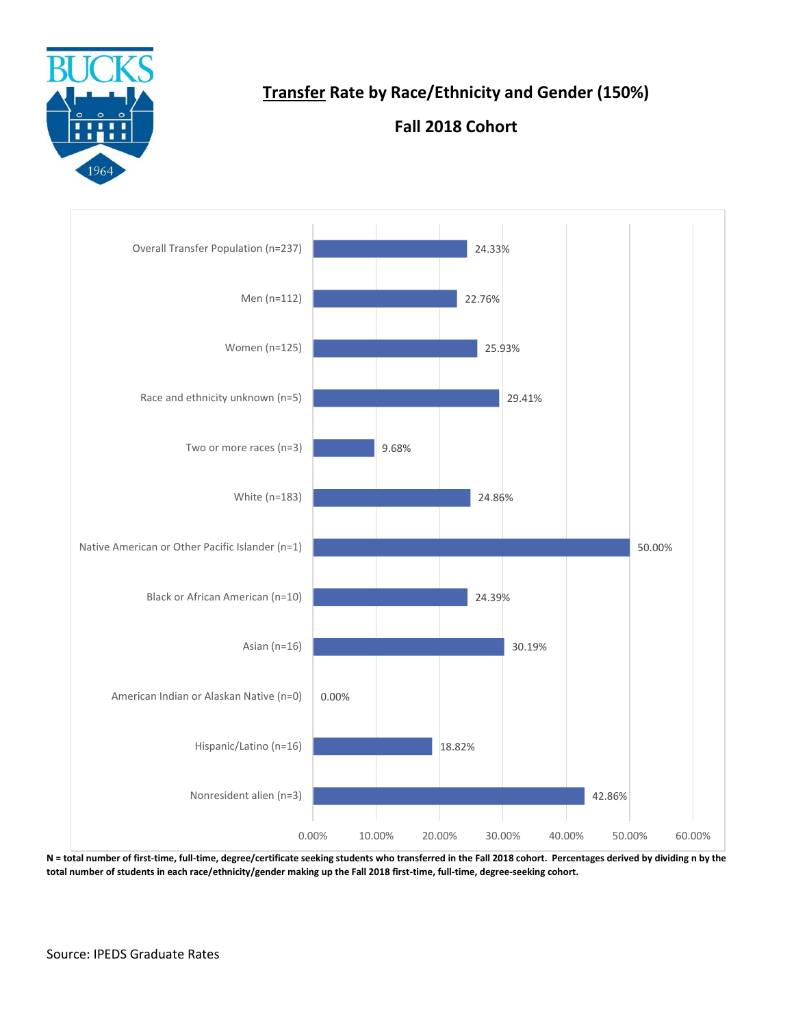

**Transfer Rate by Race/Ethnicity and Gender (150%)**

## **Fall 2018 Cohort**



**N = total number of first-time, full-time, degree/certificate seeking students who transferred in the Fall 2018 cohort. Percentages derived by dividing n by the total number of students in each race/ethnicity/gender making up the Fall 2018 first-time, full-time, degree-seeking cohort.**